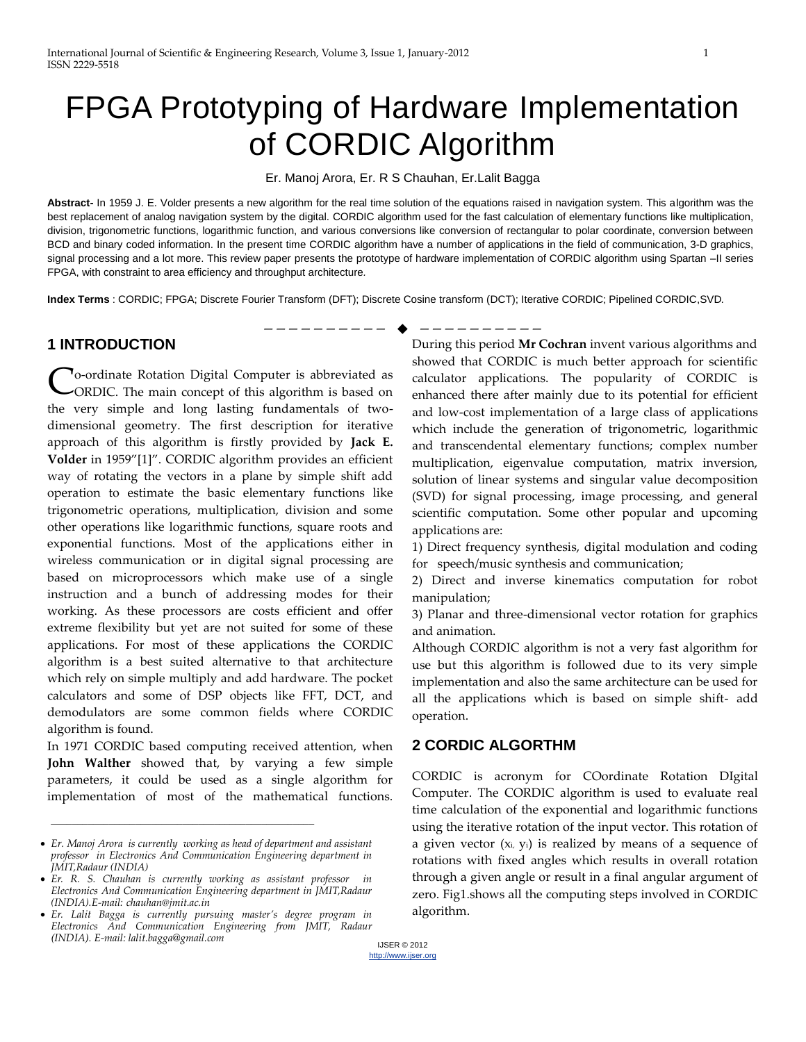# FPGA Prototyping of Hardware Implementation of CORDIC Algorithm

Er. Manoj Arora, Er. R S Chauhan, Er.Lalit Bagga

**Abstract-** In 1959 J. E. Volder presents a new algorithm for the real time solution of the equations raised in navigation system. This algorithm was the best replacement of analog navigation system by the digital. CORDIC algorithm used for the fast calculation of elementary functions like multiplication, division, trigonometric functions, logarithmic function, and various conversions like conversion of rectangular to polar coordinate, conversion between BCD and binary coded information. In the present time CORDIC algorithm have a number of applications in the field of communication, 3-D graphics, signal processing and a lot more. This review paper presents the prototype of hardware implementation of CORDIC algorithm using Spartan –II series FPGA, with constraint to area efficiency and throughput architecture*.*

—————————— ——————————

**Index Terms** : CORDIC; FPGA; Discrete Fourier Transform (DFT); Discrete Cosine transform (DCT); Iterative CORDIC; Pipelined CORDIC,SVD*.*

## **1 INTRODUCTION**

To-ordinate Rotation Digital Computer is abbreviated as Co-ordinate Rotation Digital Computer is abbreviated as CORDIC. The main concept of this algorithm is based on the very simple and long lasting fundamentals of twodimensional geometry. The first description for iterative approach of this algorithm is firstly provided by **Jack E. Volder** in 1959"[1]". CORDIC algorithm provides an efficient way of rotating the vectors in a plane by simple shift add operation to estimate the basic elementary functions like trigonometric operations, multiplication, division and some other operations like logarithmic functions, square roots and exponential functions. Most of the applications either in wireless communication or in digital signal processing are based on microprocessors which make use of a single instruction and a bunch of addressing modes for their working. As these processors are costs efficient and offer extreme flexibility but yet are not suited for some of these applications. For most of these applications the CORDIC algorithm is a best suited alternative to that architecture which rely on simple multiply and add hardware. The pocket calculators and some of DSP objects like FFT, DCT, and demodulators are some common fields where CORDIC algorithm is found.

In 1971 CORDIC based computing received attention, when **John Walther** showed that, by varying a few simple parameters, it could be used as a single algorithm for implementation of most of the mathematical functions.

\_\_\_\_\_\_\_\_\_\_\_\_\_\_\_\_\_\_\_\_\_\_\_\_\_\_\_\_\_\_\_\_\_\_\_\_\_\_\_\_\_\_\_\_\_\_\_\_\_\_

During this period **Mr Cochran** invent various algorithms and showed that CORDIC is much better approach for scientific calculator applications. The popularity of CORDIC is enhanced there after mainly due to its potential for efficient and low-cost implementation of a large class of applications which include the generation of trigonometric, logarithmic and transcendental elementary functions; complex number multiplication, eigenvalue computation, matrix inversion, solution of linear systems and singular value decomposition (SVD) for signal processing, image processing, and general scientific computation. Some other popular and upcoming applications are:

1) Direct frequency synthesis, digital modulation and coding for speech/music synthesis and communication;

2) Direct and inverse kinematics computation for robot manipulation;

3) Planar and three-dimensional vector rotation for graphics and animation.

Although CORDIC algorithm is not a very fast algorithm for use but this algorithm is followed due to its very simple implementation and also the same architecture can be used for all the applications which is based on simple shift- add operation.

# **2 CORDIC ALGORTHM**

CORDIC is acronym for COordinate Rotation DIgital Computer. The CORDIC algorithm is used to evaluate real time calculation of the exponential and logarithmic functions using the iterative rotation of the input vector. This rotation of a given vector  $(x_i, y_i)$  is realized by means of a sequence of rotations with fixed angles which results in overall rotation through a given angle or result in a final angular argument of zero. Fig1.shows all the computing steps involved in CORDIC algorithm.

*Er. Manoj Arora is currently working as head of department and assistant professor in Electronics And Communication Engineering department in JMIT,Radaur (INDIA)* 

*Er. R. S. Chauhan is currently working as assistant professor in Electronics And Communication Engineering department in JMIT,Radaur (INDIA).E-mail: chauhan@jmit.ac.in*

*Er. Lalit Bagga is currently pursuing master's degree program in Electronics And Communication Engineering from JMIT, Radaur (INDIA). E-mail: lalit.bagga@gmail.com*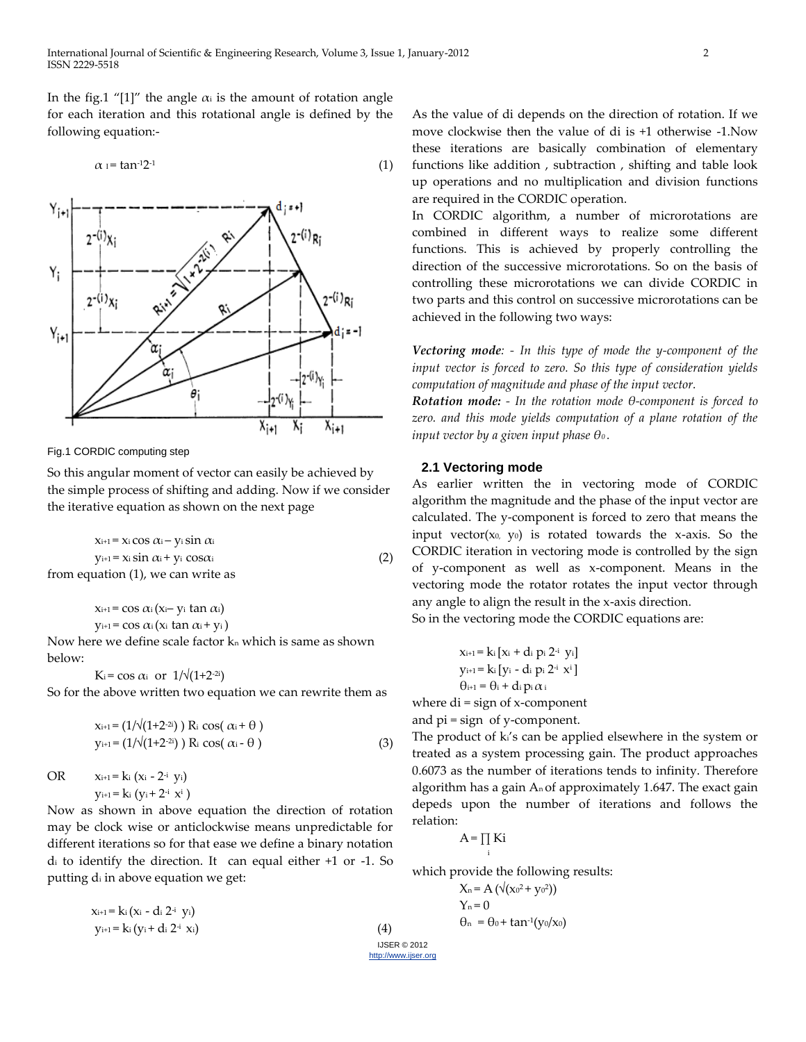In the fig.1 "[1]" the angle  $\alpha_i$  is the amount of rotation angle for each iteration and this rotational angle is defined by the following equation:-

$$
\alpha_1 = \tan^{-1} 2^{-1} \tag{1}
$$



Fig.1 CORDIC computing step

So this angular moment of vector can easily be achieved by the simple process of shifting and adding. Now if we consider the iterative equation as shown on the next page

 $x_{i+1} = x_i \cos \alpha_i - y_i \sin \alpha_i$  $y_{i+1} = x_i \sin \alpha_i + y_i \cos \alpha_i$  (2) from equation (1), we can write as

> $x_{i+1}$  = cos  $\alpha_i$  ( $x_i$  –  $y_i$  tan  $\alpha_i$ )  $y_{i+1} = \cos \alpha_i (x_i \tan \alpha_i + y_i)$

Now here we define scale factor  $k_n$  which is same as shown below:

 $K_i = \cos \alpha_i$  or  $1/\sqrt{(1+2^{-2i})}$ 

So for the above written two equation we can rewrite them as

$$
x_{i+1} = (1/\sqrt{(1+2^{-2i})}) R_i \cos(\alpha_i + \theta)
$$
  
\n
$$
y_{i+1} = (1/\sqrt{(1+2^{-2i})}) R_i \cos(\alpha_i - \theta)
$$
\n(3)

OR  $x_{i+1} = k_i (x_i - 2^{-i} y_i)$ yi+1= ki (yi + 2<sup>-i</sup> x<sup>i</sup> )

Now as shown in above equation the direction of rotation may be clock wise or anticlockwise means unpredictable for different iterations so for that ease we define a binary notation d<sup>i</sup> to identify the direction. It can equal either +1 or -1. So putting d<sup>i</sup> in above equation we get:

| $x_{i+1} = k_i (x_i - d_i 2^{-i} y_i)$ |  |
|----------------------------------------|--|
| $y_{i+1} = k_i (y_i + d_i 2^{-i} x_i)$ |  |

IJSER © 2012 http://www.ijser.org

(4)

As the value of di depends on the direction of rotation. If we move clockwise then the value of di is +1 otherwise -1.Now these iterations are basically combination of elementary functions like addition , subtraction , shifting and table look up operations and no multiplication and division functions are required in the CORDIC operation.

In CORDIC algorithm, a number of microrotations are combined in different ways to realize some different functions. This is achieved by properly controlling the direction of the successive microrotations. So on the basis of controlling these microrotations we can divide CORDIC in two parts and this control on successive microrotations can be achieved in the following two ways:

*Vectoring mode: - In this type of mode the y-component of the input vector is forced to zero. So this type of consideration yields computation of magnitude and phase of the input vector.*

*Rotation mode: - In the rotation mode θ-component is forced to zero. and this mode yields computation of a plane rotation of the input vector by a given input phase θ0 .*

#### **2.1 Vectoring mode**

As earlier written the in vectoring mode of CORDIC algorithm the magnitude and the phase of the input vector are calculated. The y-component is forced to zero that means the input vector( $x_0$ ,  $y_0$ ) is rotated towards the x-axis. So the CORDIC iteration in vectoring mode is controlled by the sign of y-component as well as x-component. Means in the vectoring mode the rotator rotates the input vector through any angle to align the result in the x-axis direction.

So in the vectoring mode the CORDIC equations are:

$$
x_{i+1} = k_i [x_i + d_i p_i 2^{i} y_i]
$$
  
\n
$$
y_{i+1} = k_i [y_i - d_i p_i 2^{i} x^i]
$$
  
\n
$$
\theta_{i+1} = \theta_i + d_i p_i \alpha_i
$$

where  $di = sign of x-component$ and pi = sign of y-component.

The product of ki's can be applied elsewhere in the system or treated as a system processing gain. The product approaches 0.6073 as the number of iterations tends to infinity. Therefore algorithm has a gain  $A_n$  of approximately 1.647. The exact gain depeds upon the number of iterations and follows the relation:

$$
A = \prod_i Ki
$$

which provide the following results:

$$
X_n = A\left(\sqrt{(x_0^2 + y_0^2)}\right)
$$
  
\n
$$
Y_n = 0
$$
  
\n
$$
\theta_n = \theta_0 + \tan^{-1}(y_0/x_0)
$$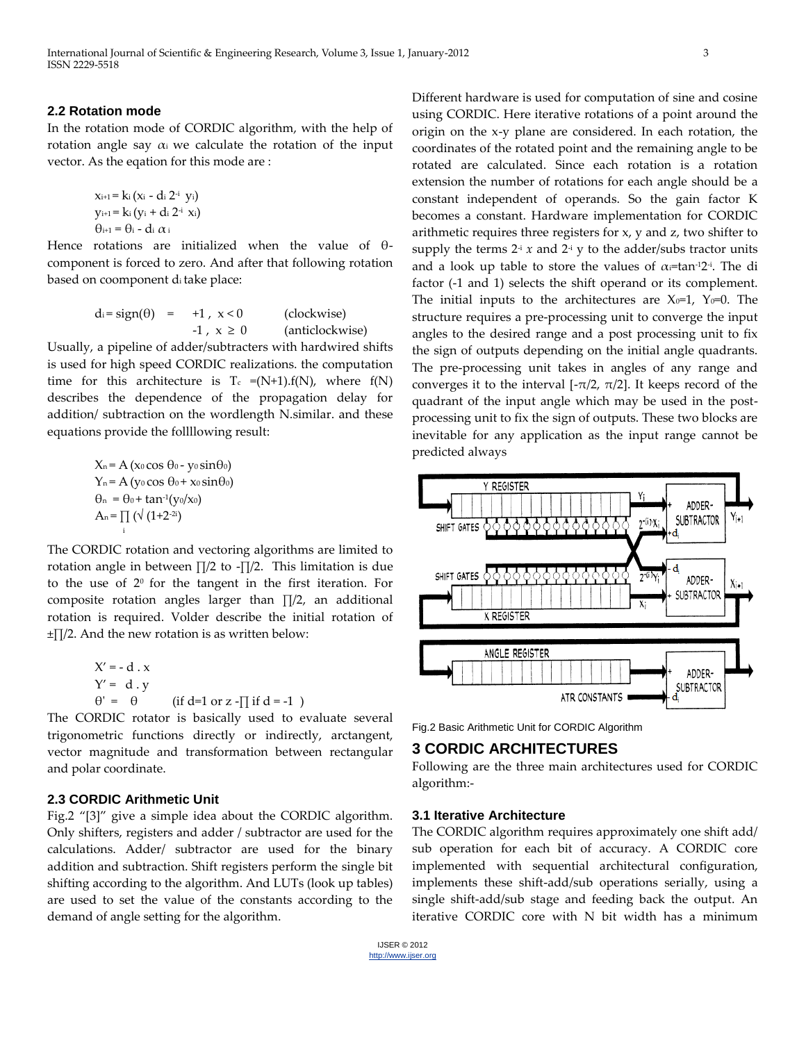### **2.2 Rotation mode**

In the rotation mode of CORDIC algorithm, with the help of rotation angle say  $\alpha_i$  we calculate the rotation of the input vector. As the eqation for this mode are :

> xi+1 = ki (xi - di 2<sup>-i</sup> yi)  $y_{i+1}$ = ki (yi + di 2<sup>-i</sup> xi) θi+1 = θ<sup>i</sup> - di α<sup>i</sup>

Hence rotations are initialized when the value of θcomponent is forced to zero. And after that following rotation based on coomponent di take place:

$$
d_i = sign(\theta) = +1, x < 0
$$
 (clockwise)  
-1, x \ge 0 (anticlockwise)

Usually, a pipeline of adder/subtracters with hardwired shifts is used for high speed CORDIC realizations. the computation time for this architecture is  $T_c = (N+1).f(N)$ , where  $f(N)$ describes the dependence of the propagation delay for addition/ subtraction on the wordlength N.similar. and these equations provide the follllowing result:

$$
X_n = A (x_0 \cos \theta_0 - y_0 \sin \theta_0)
$$
  
\n
$$
Y_n = A (y_0 \cos \theta_0 + x_0 \sin \theta_0)
$$
  
\n
$$
\theta_n = \theta_0 + \tan^{-1}(y_0/x_0)
$$
  
\n
$$
A_n = \prod_i (\sqrt{(1+2^{-2i})})
$$

The CORDIC rotation and vectoring algorithms are limited to rotation angle in between ∏/2 to -∏/2. This limitation is due to the use of  $2<sup>0</sup>$  for the tangent in the first iteration. For composite rotation angles larger than ∏/2, an additional rotation is required. Volder describe the initial rotation of ±∏/2. And the new rotation is as written below:

$$
X' = -d \cdot x
$$
  
\n
$$
Y' = d \cdot y
$$
  
\n
$$
\theta' = \theta
$$
 (if d=1 or z - $\pi$  if d = -1 )

The CORDIC rotator is basically used to evaluate several trigonometric functions directly or indirectly, arctangent, vector magnitude and transformation between rectangular and polar coordinate.

#### **2.3 CORDIC Arithmetic Unit**

Fig.2 "[3]" give a simple idea about the CORDIC algorithm. Only shifters, registers and adder / subtractor are used for the calculations. Adder/ subtractor are used for the binary addition and subtraction. Shift registers perform the single bit shifting according to the algorithm. And LUTs (look up tables) are used to set the value of the constants according to the demand of angle setting for the algorithm.

Different hardware is used for computation of sine and cosine using CORDIC. Here iterative rotations of a point around the origin on the x-y plane are considered. In each rotation, the coordinates of the rotated point and the remaining angle to be rotated are calculated. Since each rotation is a rotation extension the number of rotations for each angle should be a constant independent of operands. So the gain factor K becomes a constant. Hardware implementation for CORDIC arithmetic requires three registers for x, y and z, two shifter to supply the terms  $2^{\frac{1}{2}}x$  and  $2^{\frac{1}{2}}y$  to the adder/subs tractor units and a look up table to store the values of  $\alpha$ =tan-12-i. The di factor (-1 and 1) selects the shift operand or its complement. The initial inputs to the architectures are  $X_0=1$ ,  $Y_0=0$ . The structure requires a pre-processing unit to converge the input angles to the desired range and a post processing unit to fix the sign of outputs depending on the initial angle quadrants. The pre-processing unit takes in angles of any range and converges it to the interval [- $\pi/2$ ,  $\pi/2$ ]. It keeps record of the quadrant of the input angle which may be used in the postprocessing unit to fix the sign of outputs. These two blocks are inevitable for any application as the input range cannot be predicted always



Fig.2 Basic Arithmetic Unit for CORDIC Algorithm

# **3 CORDIC ARCHITECTURES**

Following are the three main architectures used for CORDIC algorithm:-

#### **3.1 Iterative Architecture**

The CORDIC algorithm requires approximately one shift add/ sub operation for each bit of accuracy. A CORDIC core implemented with sequential architectural configuration, implements these shift-add/sub operations serially, using a single shift-add/sub stage and feeding back the output. An iterative CORDIC core with N bit width has a minimum

IJSER © 2012 http://www.ijser.org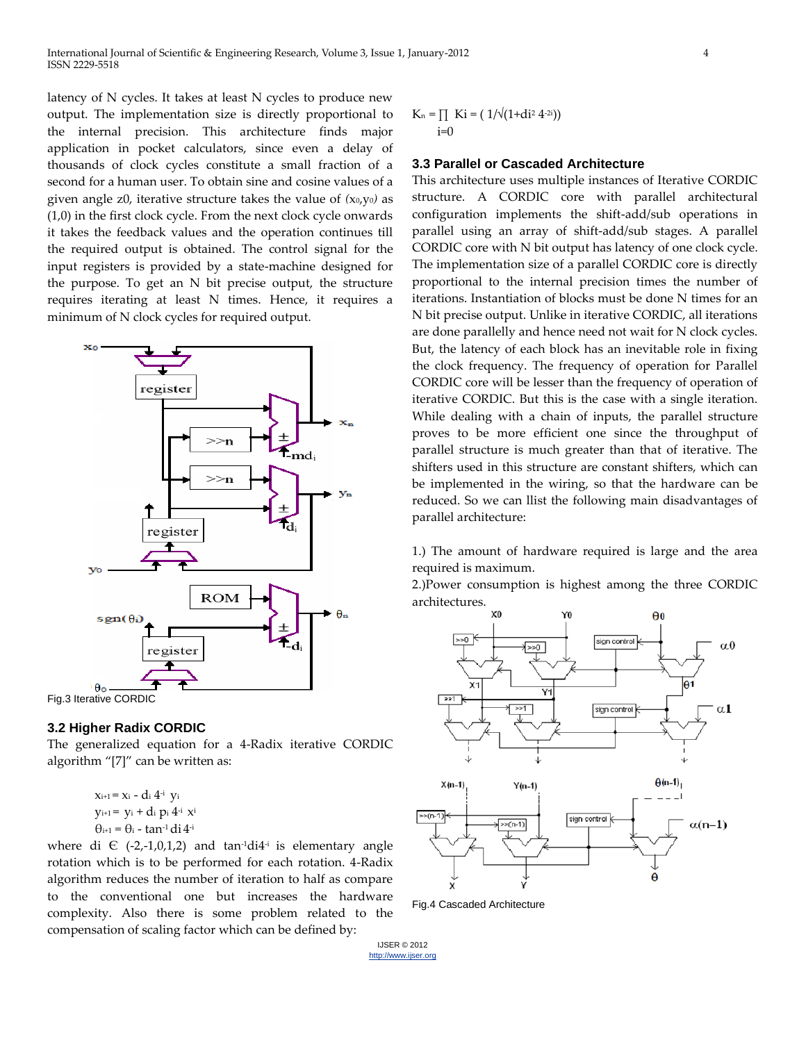International Journal of Scientific & Engineering Research, Volume 3, Issue 1, January-2012 4 ISSN 2229-5518

latency of N cycles. It takes at least N cycles to produce new output. The implementation size is directly proportional to the internal precision. This architecture finds major application in pocket calculators, since even a delay of thousands of clock cycles constitute a small fraction of a second for a human user. To obtain sine and cosine values of a given angle z0, iterative structure takes the value of *(*x0,y0*)* as (1,0) in the first clock cycle. From the next clock cycle onwards it takes the feedback values and the operation continues till the required output is obtained. The control signal for the input registers is provided by a state-machine designed for the purpose. To get an N bit precise output, the structure requires iterating at least N times. Hence, it requires a minimum of N clock cycles for required output.



# Fig.3 Iterative CORDIC

## **3.2 Higher Radix CORDIC**

The generalized equation for a 4-Radix iterative CORDIC algorithm "[7]" can be written as:

```
xi+1 = xi - di 4
-i yi
y_{i+1}= y_i + d_i p_i 4^i x^i\theta_{i+1} = \theta_i - tan<sup>-1</sup> di 4<sup>-i</sup>
```
where di  $\in$  (-2,-1,0,1,2) and tan<sup>-1</sup>di<sup>4-i</sup> is elementary angle rotation which is to be performed for each rotation. 4-Radix algorithm reduces the number of iteration to half as compare to the conventional one but increases the hardware complexity. Also there is some problem related to the compensation of scaling factor which can be defined by:

$$
K_n = \prod_{i=0} Ki = (1/\sqrt{(1+di^2 4^{2i})})
$$

#### **3.3 Parallel or Cascaded Architecture**

This architecture uses multiple instances of Iterative CORDIC structure. A CORDIC core with parallel architectural configuration implements the shift-add/sub operations in parallel using an array of shift-add/sub stages. A parallel CORDIC core with N bit output has latency of one clock cycle. The implementation size of a parallel CORDIC core is directly proportional to the internal precision times the number of iterations. Instantiation of blocks must be done N times for an N bit precise output. Unlike in iterative CORDIC, all iterations are done parallelly and hence need not wait for N clock cycles. But, the latency of each block has an inevitable role in fixing the clock frequency. The frequency of operation for Parallel CORDIC core will be lesser than the frequency of operation of iterative CORDIC. But this is the case with a single iteration. While dealing with a chain of inputs, the parallel structure proves to be more efficient one since the throughput of parallel structure is much greater than that of iterative. The shifters used in this structure are constant shifters, which can be implemented in the wiring, so that the hardware can be reduced. So we can llist the following main disadvantages of parallel architecture:

1.) The amount of hardware required is large and the area required is maximum.

2.)Power consumption is highest among the three CORDIC architectures.



Fig.4 Cascaded Architecture

IJSER © 2012 http://www.ijser.org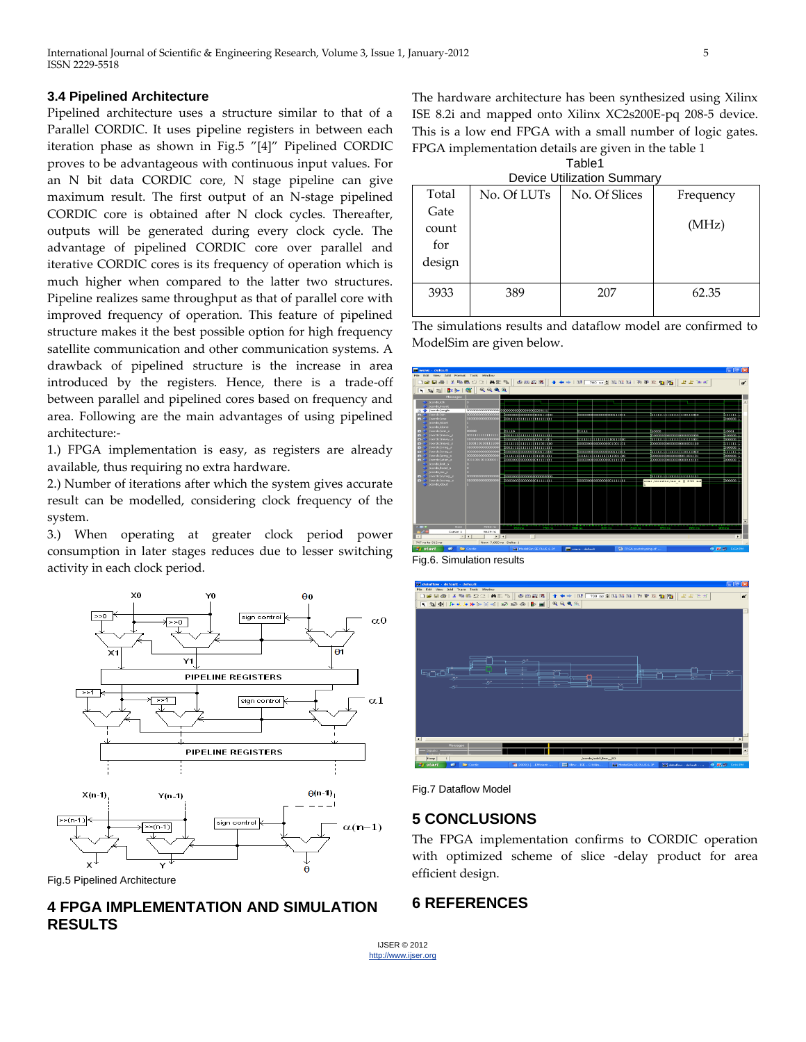#### **3.4 Pipelined Architecture**

Pipelined architecture uses a structure similar to that of a Parallel CORDIC. It uses pipeline registers in between each iteration phase as shown in Fig.5 "[4]" Pipelined CORDIC proves to be advantageous with continuous input values. For an N bit data CORDIC core, N stage pipeline can give maximum result. The first output of an N-stage pipelined CORDIC core is obtained after N clock cycles. Thereafter, outputs will be generated during every clock cycle. The advantage of pipelined CORDIC core over parallel and iterative CORDIC cores is its frequency of operation which is much higher when compared to the latter two structures. Pipeline realizes same throughput as that of parallel core with improved frequency of operation. This feature of pipelined structure makes it the best possible option for high frequency satellite communication and other communication systems. A drawback of pipelined structure is the increase in area introduced by the registers. Hence, there is a trade-off between parallel and pipelined cores based on frequency and area. Following are the main advantages of using pipelined architecture:-

1.) FPGA implementation is easy, as registers are already available, thus requiring no extra hardware.

2.) Number of iterations after which the system gives accurate result can be modelled, considering clock frequency of the system.

3.) When operating at greater clock period power consumption in later stages reduces due to lesser switching activity in each clock period.



Fig.5 Pipelined Architecture

# **4 FPGA IMPLEMENTATION AND SIMULATION RESULTS**

The hardware architecture has been synthesized using Xilinx ISE 8.2i and mapped onto Xilinx XC2s200E-pq 208-5 device. This is a low end FPGA with a small number of logic gates. FPGA implementation details are given in the table 1 Table1

| i avic i                |  |
|-------------------------|--|
| rica Hillization Summar |  |

| Device Utilization Summary |             |               |           |  |
|----------------------------|-------------|---------------|-----------|--|
| Total                      | No. Of LUTs | No. Of Slices | Frequency |  |
| Gate                       |             |               |           |  |
| count                      |             |               | (MHz)     |  |
| for                        |             |               |           |  |
| design                     |             |               |           |  |
|                            |             |               |           |  |
| 3933                       | 389         | 207           | 62.35     |  |
|                            |             |               |           |  |

The simulations results and dataflow model are confirmed to ModelSim are given below.



Fig.6. Simulation results





## **5 CONCLUSIONS**

The FPGA implementation confirms to CORDIC operation with optimized scheme of slice -delay product for area efficient design.

## **6 REFERENCES**

IJSER © 2012 http://www.ijser.org